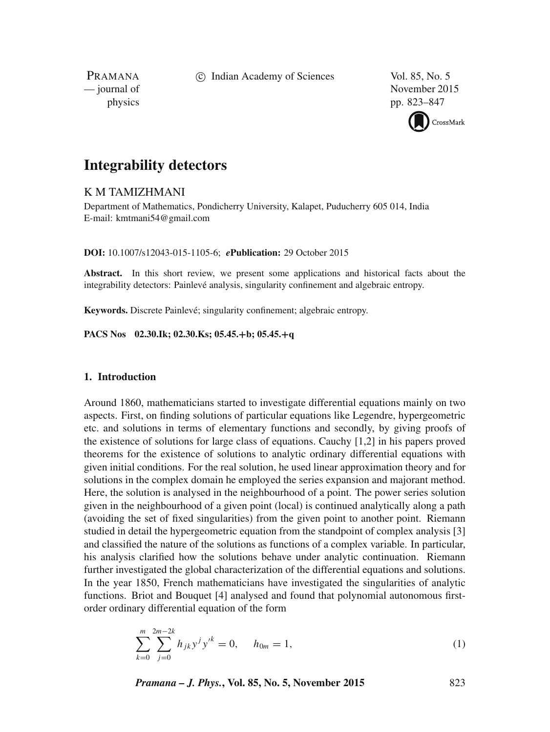c Indian Academy of Sciences Vol. 85, No. 5

PRAMANA

— journal of November 2015 physics pp. 823–847



# **Integrability detectors**

# K M TAMIZHMANI

Department of Mathematics, Pondicherry University, Kalapet, Puducherry 605 014, India E-mail: kmtmani54@gmail.com

# **DOI:** 10.1007/s12043-015-1105-6; *e***Publication:** 29 October 2015

**Abstract.** In this short review, we present some applications and historical facts about the integrability detectors: Painlevé analysis, singularity confinement and algebraic entropy.

**Keywords.** Discrete Painlevé; singularity confinement; algebraic entropy.

**PACS Nos 02.30.Ik; 02.30.Ks; 05.45.**+**b; 05.45.**+**q**

#### **1. Introduction**

Around 1860, mathematicians started to investigate differential equations mainly on two aspects. First, on finding solutions of particular equations like Legendre, hypergeometric etc. and solutions in terms of elementary functions and secondly, by giving proofs of the existence of solutions for large class of equations. Cauchy [1,2] in his papers proved theorems for the existence of solutions to analytic ordinary differential equations with given initial conditions. For the real solution, he used linear approximation theory and for solutions in the complex domain he employed the series expansion and majorant method. Here, the solution is analysed in the neighbourhood of a point. The power series solution given in the neighbourhood of a given point (local) is continued analytically along a path (avoiding the set of fixed singularities) from the given point to another point. Riemann studied in detail the hypergeometric equation from the standpoint of complex analysis [3] and classified the nature of the solutions as functions of a complex variable. In particular, his analysis clarified how the solutions behave under analytic continuation. Riemann further investigated the global characterization of the differential equations and solutions. In the year 1850, French mathematicians have investigated the singularities of analytic functions. Briot and Bouquet [4] analysed and found that polynomial autonomous firstorder ordinary differential equation of the form

$$
\sum_{k=0}^{m} \sum_{j=0}^{2m-2k} h_{jk} y^j y'^k = 0, \quad h_{0m} = 1,
$$
\n(1)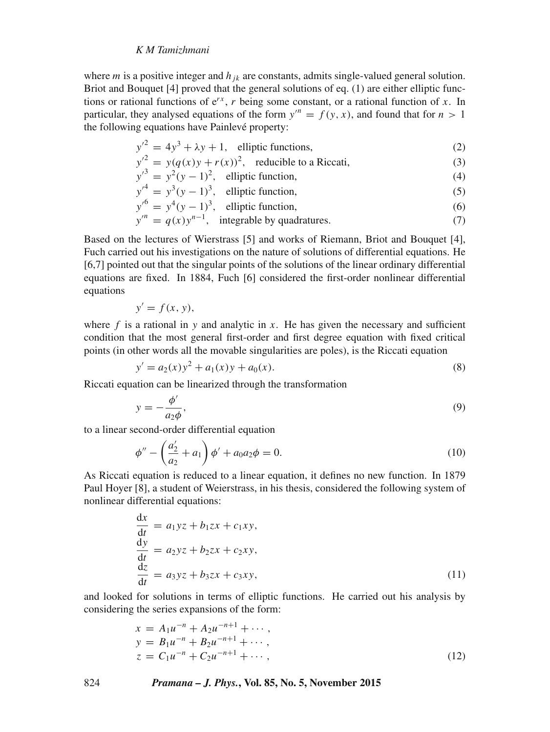where *m* is a positive integer and  $h_{ik}$  are constants, admits single-valued general solution. Briot and Bouquet [4] proved that the general solutions of eq. (1) are either elliptic functions or rational functions of  $e^{rx}$ , r being some constant, or a rational function of x. In particular, they analysed equations of the form  $y'' = f(y, x)$ , and found that for  $n > 1$ the following equations have Painlevé property:

$$
y'^2 = 4y^3 + \lambda y + 1, \quad \text{elliptic functions}, \tag{2}
$$

$$
y'^{2} = y(q(x)y + r(x))^{2}, \text{ reducible to a Riccati}, \tag{3}
$$

$$
y'^3 = y^2(y-1)^2
$$
, elliptic function, (4)

$$
y'^4 = y^3(y - 1)^3
$$
, elliptic function, (5)

$$
y'^6 = y^4(y-1)^3
$$
, elliptic function, (6)

$$
y'' = q(x)y^{n-1}, \text{ integrable by quadratures.}
$$
 (7)

Based on the lectures of Wierstrass [5] and works of Riemann, Briot and Bouquet [4], Fuch carried out his investigations on the nature of solutions of differential equations. He [6,7] pointed out that the singular points of the solutions of the linear ordinary differential equations are fixed. In 1884, Fuch [6] considered the first-order nonlinear differential equations

$$
y' = f(x, y),
$$

where  $f$  is a rational in y and analytic in x. He has given the necessary and sufficient condition that the most general first-order and first degree equation with fixed critical points (in other words all the movable singularities are poles), is the Riccati equation

$$
y' = a_2(x)y^2 + a_1(x)y + a_0(x).
$$
 (8)

Riccati equation can be linearized through the transformation

$$
y = -\frac{\phi'}{a_2 \phi},\tag{9}
$$

to a linear second-order differential equation

$$
\phi'' - \left(\frac{a_2'}{a_2} + a_1\right)\phi' + a_0 a_2 \phi = 0.
$$
\n(10)

As Riccati equation is reduced to a linear equation, it defines no new function. In 1879 Paul Hoyer [8], a student of Weierstrass, in his thesis, considered the following system of nonlinear differential equations:

$$
\frac{dx}{dt} = a_1yz + b_1zx + c_1xy,\n\frac{dy}{dt} = a_2yz + b_2zx + c_2xy,\n\frac{dz}{dt} = a_3yz + b_3zx + c_3xy,
$$
\n(11)

and looked for solutions in terms of elliptic functions. He carried out his analysis by considering the series expansions of the form:

$$
x = A_1 u^{-n} + A_2 u^{-n+1} + \cdots,
$$
  
\n
$$
y = B_1 u^{-n} + B_2 u^{-n+1} + \cdots,
$$
  
\n
$$
z = C_1 u^{-n} + C_2 u^{-n+1} + \cdots,
$$
\n(12)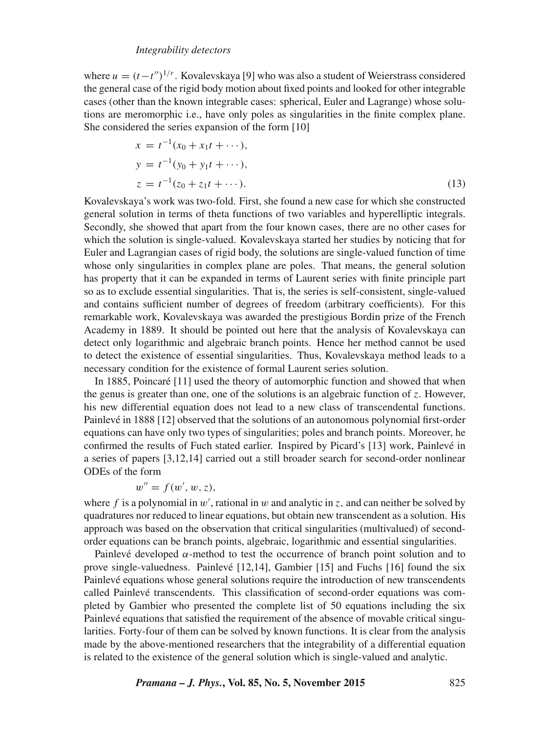where  $u = (t - t'')^{1/r}$ . Kovalevskaya [9] who was also a student of Weierstrass considered the general case of the rigid body motion about fixed points and looked for other integrable cases (other than the known integrable cases: spherical, Euler and Lagrange) whose solutions are meromorphic i.e., have only poles as singularities in the finite complex plane. She considered the series expansion of the form [10]

$$
x = t^{-1}(x_0 + x_1t + \cdots),
$$
  
\n
$$
y = t^{-1}(y_0 + y_1t + \cdots),
$$
  
\n
$$
z = t^{-1}(z_0 + z_1t + \cdots).
$$
\n(13)

Kovalevskaya's work was two-fold. First, she found a new case for which she constructed general solution in terms of theta functions of two variables and hyperelliptic integrals. Secondly, she showed that apart from the four known cases, there are no other cases for which the solution is single-valued. Kovalevskaya started her studies by noticing that for Euler and Lagrangian cases of rigid body, the solutions are single-valued function of time whose only singularities in complex plane are poles. That means, the general solution has property that it can be expanded in terms of Laurent series with finite principle part so as to exclude essential singularities. That is, the series is self-consistent, single-valued and contains sufficient number of degrees of freedom (arbitrary coefficients). For this remarkable work, Kovalevskaya was awarded the prestigious Bordin prize of the French Academy in 1889. It should be pointed out here that the analysis of Kovalevskaya can detect only logarithmic and algebraic branch points. Hence her method cannot be used to detect the existence of essential singularities. Thus, Kovalevskaya method leads to a necessary condition for the existence of formal Laurent series solution.

In 1885, Poincaré [11] used the theory of automorphic function and showed that when the genus is greater than one, one of the solutions is an algebraic function of z. However, his new differential equation does not lead to a new class of transcendental functions. Painlevé in 1888 [12] observed that the solutions of an autonomous polynomial first-order equations can have only two types of singularities; poles and branch points. Moreover, he confirmed the results of Fuch stated earlier. Inspired by Picard's [13] work, Painlevé in a series of papers [3,12,14] carried out a still broader search for second-order nonlinear ODEs of the form

$$
w'' = f(w', w, z),
$$

where f is a polynomial in w', rational in w and analytic in z, and can neither be solved by quadratures nor reduced to linear equations, but obtain new transcendent as a solution. His approach was based on the observation that critical singularities (multivalued) of secondorder equations can be branch points, algebraic, logarithmic and essential singularities.

Painlevé developed  $\alpha$ -method to test the occurrence of branch point solution and to prove single-valuedness. Painlevé [12,14], Gambier [15] and Fuchs [16] found the six Painlevé equations whose general solutions require the introduction of new transcendents called Painlevé transcendents. This classification of second-order equations was completed by Gambier who presented the complete list of 50 equations including the six Painlevé equations that satisfied the requirement of the absence of movable critical singularities. Forty-four of them can be solved by known functions. It is clear from the analysis made by the above-mentioned researchers that the integrability of a differential equation is related to the existence of the general solution which is single-valued and analytic.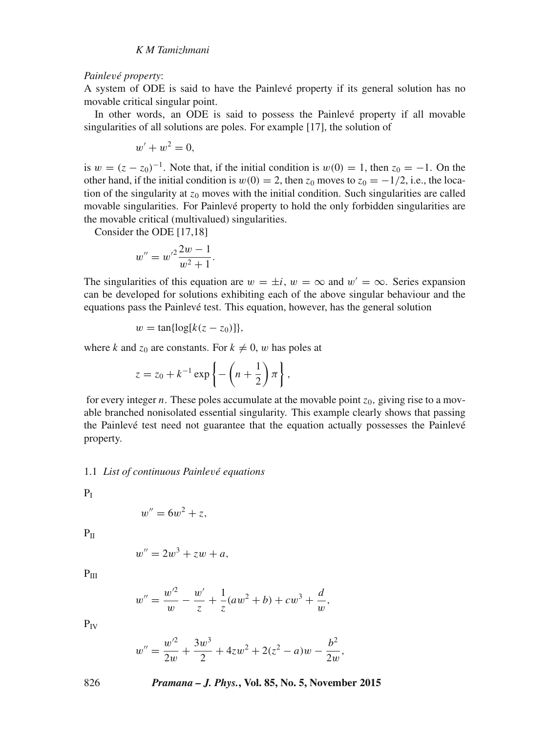#### *Painle*v*é property*:

A system of ODE is said to have the Painlevé property if its general solution has no movable critical singular point.

In other words, an ODE is said to possess the Painlevé property if all movable singularities of all solutions are poles. For example [17], the solution of

$$
w'+w^2=0,
$$

is  $w = (z - z_0)^{-1}$ . Note that, if the initial condition is  $w(0) = 1$ , then  $z_0 = -1$ . On the other hand, if the initial condition is  $w(0) = 2$ , then  $z_0$  moves to  $z_0 = -1/2$ , i.e., the location of the singularity at  $z_0$  moves with the initial condition. Such singularities are called movable singularities. For Painlevé property to hold the only forbidden singularities are the movable critical (multivalued) singularities.

Consider the ODE [17,18]

$$
w'' = w'^2 \frac{2w - 1}{w^2 + 1}.
$$

The singularities of this equation are  $w = \pm i$ ,  $w = \infty$  and  $w' = \infty$ . Series expansion can be developed for solutions exhibiting each of the above singular behaviour and the equations pass the Painlevé test. This equation, however, has the general solution

 $w = \tan{\log[k(z - z_0)]},$ 

where k and  $z_0$  are constants. For  $k \neq 0$ , w has poles at

$$
z = z_0 + k^{-1} \exp\left\{-\left(n + \frac{1}{2}\right)\pi\right\},\,
$$

for every integer n. These poles accumulate at the movable point  $z_0$ , giving rise to a movable branched nonisolated essential singularity. This example clearly shows that passing the Painlevé test need not guarantee that the equation actually possesses the Painlevé property.

## 1.1 *List of continuous Painle*v*é equations*

 $P<sub>I</sub>$ 

$$
w'' = 6w^2 + z,
$$

 $P<sub>II</sub>$ 

$$
w'' = 2w^3 + zw + a,
$$

 $P_{III}$ 

$$
w'' = \frac{w'^2}{w} - \frac{w'}{z} + \frac{1}{z}(aw^2 + b) + cw^3 + \frac{d}{w},
$$

 $P_{IV}$ 

$$
w'' = \frac{w'^2}{2w} + \frac{3w^3}{2} + 4zw^2 + 2(z^2 - a)w - \frac{b^2}{2w},
$$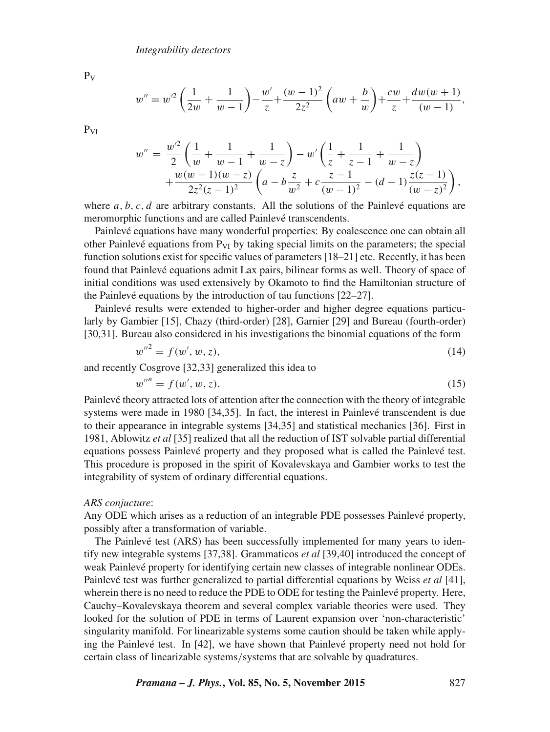$P_{V}$ 

$$
w'' = w'^2 \left(\frac{1}{2w} + \frac{1}{w-1}\right) - \frac{w'}{z} + \frac{(w-1)^2}{2z^2} \left(aw + \frac{b}{w}\right) + \frac{cw}{z} + \frac{dw(w+1)}{(w-1)},
$$

 $P_{VI}$ 

$$
w'' = \frac{w'^2}{2} \left( \frac{1}{w} + \frac{1}{w-1} + \frac{1}{w-z} \right) - w' \left( \frac{1}{z} + \frac{1}{z-1} + \frac{1}{w-z} \right) + \frac{w(w-1)(w-z)}{2z^2(z-1)^2} \left( a - b \frac{z}{w^2} + c \frac{z-1}{(w-1)^2} - (d-1) \frac{z(z-1)}{(w-z)^2} \right),
$$

where  $a, b, c, d$  are arbitrary constants. All the solutions of the Painlevé equations are meromorphic functions and are called Painlevé transcendents.

Painlevé equations have many wonderful properties: By coalescence one can obtain all other Painlevé equations from  $P_{VI}$  by taking special limits on the parameters; the special function solutions exist for specific values of parameters [18–21] etc. Recently, it has been found that Painlevé equations admit Lax pairs, bilinear forms as well. Theory of space of initial conditions was used extensively by Okamoto to find the Hamiltonian structure of the Painlevé equations by the introduction of tau functions [22–27].

Painlevé results were extended to higher-order and higher degree equations particularly by Gambier [15], Chazy (third-order) [28], Garnier [29] and Bureau (fourth-order) [30,31]. Bureau also considered in his investigations the binomial equations of the form

$$
w''^2 = f(w', w, z),\tag{14}
$$

and recently Cosgrove [32,33] generalized this idea to

$$
w'''' = f(w', w, z). \tag{15}
$$

Painlevé theory attracted lots of attention after the connection with the theory of integrable systems were made in 1980 [34,35]. In fact, the interest in Painlevé transcendent is due to their appearance in integrable systems [34,35] and statistical mechanics [36]. First in 1981, Ablowitz *et al* [35] realized that all the reduction of IST solvable partial differential equations possess Painlevé property and they proposed what is called the Painlevé test. This procedure is proposed in the spirit of Kovalevskaya and Gambier works to test the integrability of system of ordinary differential equations.

#### *ARS conjucture*:

Any ODE which arises as a reduction of an integrable PDE possesses Painlevé property, possibly after a transformation of variable.

The Painlevé test (ARS) has been successfully implemented for many years to identify new integrable systems [37,38]. Grammaticos *et al* [39,40] introduced the concept of weak Painlevé property for identifying certain new classes of integrable nonlinear ODEs. Painlevé test was further generalized to partial differential equations by Weiss *et al* [41], wherein there is no need to reduce the PDE to ODE for testing the Painlevé property. Here, Cauchy–Kovalevskaya theorem and several complex variable theories were used. They looked for the solution of PDE in terms of Laurent expansion over 'non-characteristic' singularity manifold. For linearizable systems some caution should be taken while applying the Painlevé test. In [42], we have shown that Painlevé property need not hold for certain class of linearizable systems/systems that are solvable by quadratures.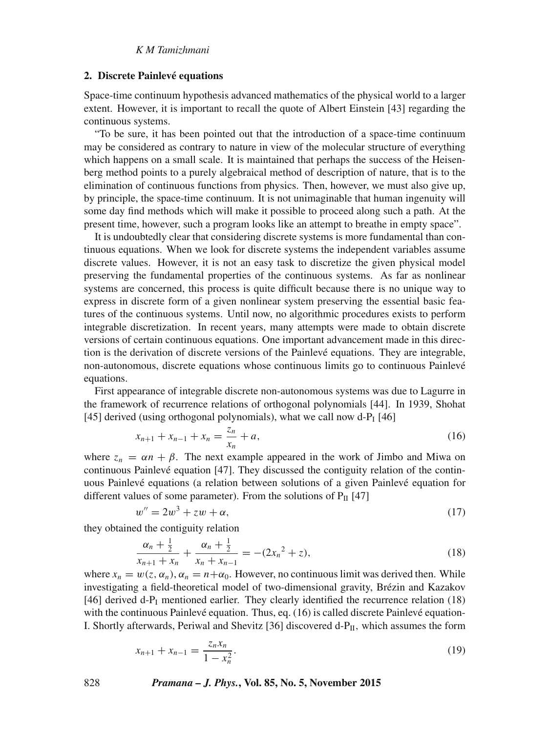#### **2. Discrete Painlevé equations**

Space-time continuum hypothesis advanced mathematics of the physical world to a larger extent. However, it is important to recall the quote of Albert Einstein [43] regarding the continuous systems.

"To be sure, it has been pointed out that the introduction of a space-time continuum may be considered as contrary to nature in view of the molecular structure of everything which happens on a small scale. It is maintained that perhaps the success of the Heisenberg method points to a purely algebraical method of description of nature, that is to the elimination of continuous functions from physics. Then, however, we must also give up, by principle, the space-time continuum. It is not unimaginable that human ingenuity will some day find methods which will make it possible to proceed along such a path. At the present time, however, such a program looks like an attempt to breathe in empty space".

It is undoubtedly clear that considering discrete systems is more fundamental than continuous equations. When we look for discrete systems the independent variables assume discrete values. However, it is not an easy task to discretize the given physical model preserving the fundamental properties of the continuous systems. As far as nonlinear systems are concerned, this process is quite difficult because there is no unique way to express in discrete form of a given nonlinear system preserving the essential basic features of the continuous systems. Until now, no algorithmic procedures exists to perform integrable discretization. In recent years, many attempts were made to obtain discrete versions of certain continuous equations. One important advancement made in this direction is the derivation of discrete versions of the Painlevé equations. They are integrable, non-autonomous, discrete equations whose continuous limits go to continuous Painlevé equations.

First appearance of integrable discrete non-autonomous systems was due to Lagurre in the framework of recurrence relations of orthogonal polynomials [44]. In 1939, Shohat [45] derived (using orthogonal polynomials), what we call now  $d-P<sub>I</sub>$  [46]

$$
x_{n+1} + x_{n-1} + x_n = \frac{z_n}{x_n} + a,\tag{16}
$$

where  $z_n = \alpha n + \beta$ . The next example appeared in the work of Jimbo and Miwa on continuous Painlevé equation [47]. They discussed the contiguity relation of the continuous Painlevé equations (a relation between solutions of a given Painlevé equation for different values of some parameter). From the solutions of  $P_{II}$  [47]

$$
w'' = 2w^3 + zw + \alpha,\tag{17}
$$

they obtained the contiguity relation

$$
\frac{\alpha_n + \frac{1}{2}}{x_{n+1} + x_n} + \frac{\alpha_n + \frac{1}{2}}{x_n + x_{n-1}} = -(2x_n^2 + z),
$$
\n(18)

where  $x_n = w(z, \alpha_n)$ ,  $\alpha_n = n + \alpha_0$ . However, no continuous limit was derived then. While investigating a field-theoretical model of two-dimensional gravity, Brézin and Kazakov [46] derived d- $P_I$  mentioned earlier. They clearly identified the recurrence relation (18) with the continuous Painlevé equation. Thus, eq. (16) is called discrete Painlevé equation-I. Shortly afterwards, Periwal and Shevitz [36] discovered  $d-P_{II}$ , which assumes the form

$$
x_{n+1} + x_{n-1} = \frac{z_n x_n}{1 - x_n^2}.
$$
\n(19)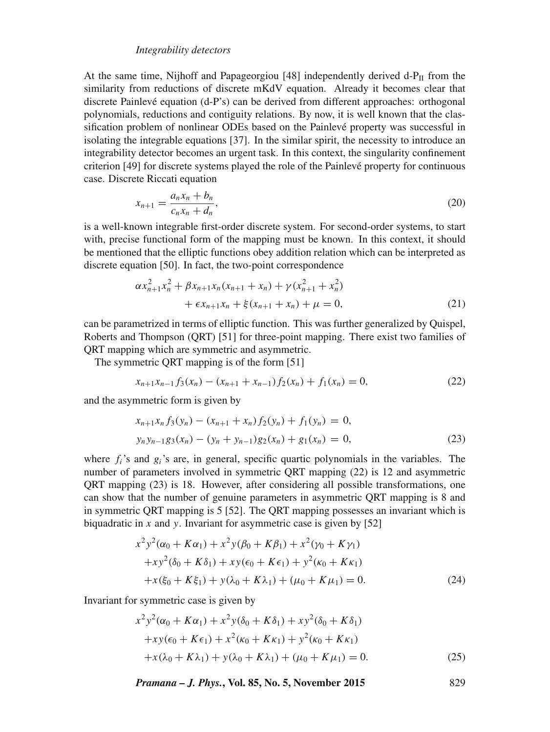At the same time, Nijhoff and Papageorgiou [48] independently derived  $d-P_{II}$  from the similarity from reductions of discrete mKdV equation. Already it becomes clear that discrete Painlevé equation (d-P's) can be derived from different approaches: orthogonal polynomials, reductions and contiguity relations. By now, it is well known that the classification problem of nonlinear ODEs based on the Painlevé property was successful in isolating the integrable equations [37]. In the similar spirit, the necessity to introduce an integrability detector becomes an urgent task. In this context, the singularity confinement criterion [49] for discrete systems played the role of the Painlevé property for continuous case. Discrete Riccati equation

$$
x_{n+1} = \frac{a_n x_n + b_n}{c_n x_n + d_n},
$$
\n(20)

is a well-known integrable first-order discrete system. For second-order systems, to start with, precise functional form of the mapping must be known. In this context, it should be mentioned that the elliptic functions obey addition relation which can be interpreted as discrete equation [50]. In fact, the two-point correspondence

$$
\alpha x_{n+1}^2 x_n^2 + \beta x_{n+1} x_n (x_{n+1} + x_n) + \gamma (x_{n+1}^2 + x_n^2) + \epsilon x_{n+1} x_n + \xi (x_{n+1} + x_n) + \mu = 0,
$$
\n(21)

can be parametrized in terms of elliptic function. This was further generalized by Quispel, Roberts and Thompson (QRT) [51] for three-point mapping. There exist two families of QRT mapping which are symmetric and asymmetric.

The symmetric QRT mapping is of the form [51]

$$
x_{n+1}x_{n-1}f_3(x_n) - (x_{n+1} + x_{n-1})f_2(x_n) + f_1(x_n) = 0,
$$
\n(22)

and the asymmetric form is given by

$$
x_{n+1}x_n f_3(y_n) - (x_{n+1} + x_n) f_2(y_n) + f_1(y_n) = 0,
$$
  
\n
$$
y_n y_{n-1} g_3(x_n) - (y_n + y_{n-1}) g_2(x_n) + g_1(x_n) = 0,
$$
\n(23)

where  $f_i$ 's and  $g_i$ 's are, in general, specific quartic polynomials in the variables. The number of parameters involved in symmetric QRT mapping (22) is 12 and asymmetric QRT mapping (23) is 18. However, after considering all possible transformations, one can show that the number of genuine parameters in asymmetric QRT mapping is 8 and in symmetric QRT mapping is 5 [52]. The QRT mapping possesses an invariant which is biquadratic in  $x$  and  $y$ . Invariant for asymmetric case is given by [52]

$$
x^{2}y^{2}(\alpha_{0} + K\alpha_{1}) + x^{2}y(\beta_{0} + K\beta_{1}) + x^{2}(\gamma_{0} + K\gamma_{1})
$$
  
+
$$
xy^{2}(\delta_{0} + K\delta_{1}) + xy(\epsilon_{0} + K\epsilon_{1}) + y^{2}(\kappa_{0} + K\kappa_{1})
$$
  
+
$$
x(\xi_{0} + K\xi_{1}) + y(\lambda_{0} + K\lambda_{1}) + (\mu_{0} + K\mu_{1}) = 0.
$$
 (24)

Invariant for symmetric case is given by

$$
x^{2}y^{2}(\alpha_{0} + K\alpha_{1}) + x^{2}y(\delta_{0} + K\delta_{1}) + xy^{2}(\delta_{0} + K\delta_{1})
$$
  
+
$$
xy(\epsilon_{0} + K\epsilon_{1}) + x^{2}(\kappa_{0} + K\kappa_{1}) + y^{2}(\kappa_{0} + K\kappa_{1})
$$
  
+
$$
x(\lambda_{0} + K\lambda_{1}) + y(\lambda_{0} + K\lambda_{1}) + (\mu_{0} + K\mu_{1}) = 0.
$$
 (25)

*Pramana – J. Phys.***, Vol. 85, No. 5, November 2015** 829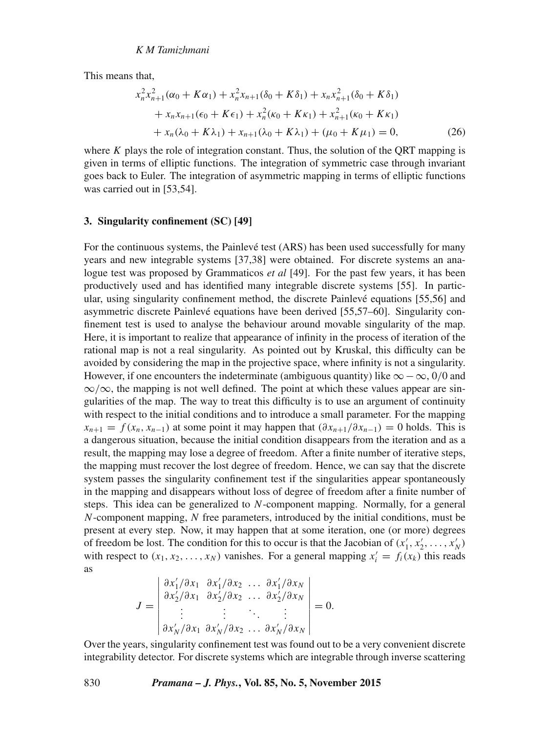This means that,

$$
x_n^2 x_{n+1}^2 (\alpha_0 + K \alpha_1) + x_n^2 x_{n+1} (\delta_0 + K \delta_1) + x_n x_{n+1}^2 (\delta_0 + K \delta_1)
$$
  
+ 
$$
x_n x_{n+1} (\epsilon_0 + K \epsilon_1) + x_n^2 (\kappa_0 + K \kappa_1) + x_{n+1}^2 (\kappa_0 + K \kappa_1)
$$
  
+ 
$$
x_n (\lambda_0 + K \lambda_1) + x_{n+1} (\lambda_0 + K \lambda_1) + (\mu_0 + K \mu_1) = 0,
$$
 (26)

where K plays the role of integration constant. Thus, the solution of the QRT mapping is given in terms of elliptic functions. The integration of symmetric case through invariant goes back to Euler. The integration of asymmetric mapping in terms of elliptic functions was carried out in [53,54].

#### **3. Singularity confinement (SC) [49]**

For the continuous systems, the Painlevé test (ARS) has been used successfully for many years and new integrable systems [37,38] were obtained. For discrete systems an analogue test was proposed by Grammaticos *et al* [49]. For the past few years, it has been productively used and has identified many integrable discrete systems [55]. In particular, using singularity confinement method, the discrete Painlevé equations [55,56] and asymmetric discrete Painlevé equations have been derived [55,57–60]. Singularity confinement test is used to analyse the behaviour around movable singularity of the map. Here, it is important to realize that appearance of infinity in the process of iteration of the rational map is not a real singularity. As pointed out by Kruskal, this difficulty can be avoided by considering the map in the projective space, where infinity is not a singularity. However, if one encounters the indeterminate (ambiguous quantity) like  $\infty - \infty$ , 0/0 and ∞/∞, the mapping is not well defined. The point at which these values appear are singularities of the map. The way to treat this difficulty is to use an argument of continuity with respect to the initial conditions and to introduce a small parameter. For the mapping  $x_{n+1} = f(x_n, x_{n-1})$  at some point it may happen that  $(\partial x_{n+1}/\partial x_{n-1}) = 0$  holds. This is a dangerous situation, because the initial condition disappears from the iteration and as a result, the mapping may lose a degree of freedom. After a finite number of iterative steps, the mapping must recover the lost degree of freedom. Hence, we can say that the discrete system passes the singularity confinement test if the singularities appear spontaneously in the mapping and disappears without loss of degree of freedom after a finite number of steps. This idea can be generalized to N-component mapping. Normally, for a general N-component mapping, N free parameters, introduced by the initial conditions, must be present at every step. Now, it may happen that at some iteration, one (or more) degrees of freedom be lost. The condition for this to occur is that the Jacobian of  $(x'_1, x'_2, \ldots, x'_N)$ with respect to  $(x_1, x_2, ..., x_N)$  vanishes. For a general mapping  $x'_i = f_i(x_k)$  this reads as

$$
J = \begin{vmatrix} \frac{\partial x'_1}{\partial x_1} & \frac{\partial x'_1}{\partial x_2} & \dots & \frac{\partial x'_1}{\partial x_N} \\ \frac{\partial x'_2}{\partial x_1} & \frac{\partial x'_2}{\partial x_2} & \dots & \frac{\partial x'_2}{\partial x_N} \\ \vdots & \vdots & \ddots & \vdots \\ \frac{\partial x'_N}{\partial x_1} & \frac{\partial x'_N}{\partial x_2} & \dots & \frac{\partial x'_N}{\partial x_N} \end{vmatrix} = 0.
$$

Over the years, singularity confinement test was found out to be a very convenient discrete integrability detector. For discrete systems which are integrable through inverse scattering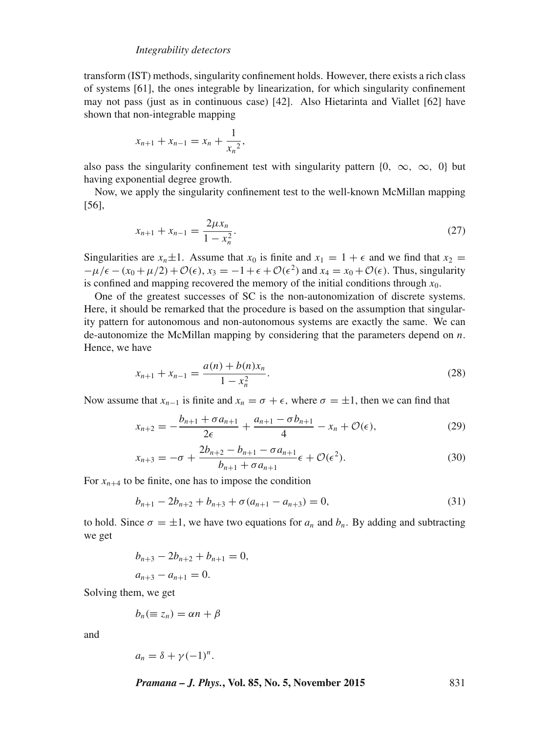transform (IST) methods, singularity confinement holds. However, there exists a rich class of systems [61], the ones integrable by linearization, for which singularity confinement may not pass (just as in continuous case) [42]. Also Hietarinta and Viallet [62] have shown that non-integrable mapping

$$
x_{n+1} + x_{n-1} = x_n + \frac{1}{x_n^2},
$$

also pass the singularity confinement test with singularity pattern {0,  $\infty$ ,  $\infty$ , 0} but having exponential degree growth.

Now, we apply the singularity confinement test to the well-known McMillan mapping [56],

$$
x_{n+1} + x_{n-1} = \frac{2\mu x_n}{1 - x_n^2}.
$$
\n(27)

Singularities are  $x_n \pm 1$ . Assume that  $x_0$  is finite and  $x_1 = 1 + \epsilon$  and we find that  $x_2 =$  $-\mu/\epsilon - (x_0 + \mu/2) + \mathcal{O}(\epsilon)$ ,  $x_3 = -1 + \epsilon + \mathcal{O}(\epsilon^2)$  and  $x_4 = x_0 + \mathcal{O}(\epsilon)$ . Thus, singularity is confined and mapping recovered the memory of the initial conditions through  $x_0$ .

One of the greatest successes of SC is the non-autonomization of discrete systems. Here, it should be remarked that the procedure is based on the assumption that singularity pattern for autonomous and non-autonomous systems are exactly the same. We can de-autonomize the McMillan mapping by considering that the parameters depend on  $n$ . Hence, we have

$$
x_{n+1} + x_{n-1} = \frac{a(n) + b(n)x_n}{1 - x_n^2}.
$$
 (28)

Now assume that  $x_{n-1}$  is finite and  $x_n = \sigma + \epsilon$ , where  $\sigma = \pm 1$ , then we can find that

$$
x_{n+2} = -\frac{b_{n+1} + \sigma a_{n+1}}{2\epsilon} + \frac{a_{n+1} - \sigma b_{n+1}}{4} - x_n + \mathcal{O}(\epsilon),
$$
 (29)

$$
x_{n+3} = -\sigma + \frac{2b_{n+2} - b_{n+1} - \sigma a_{n+1}}{b_{n+1} + \sigma a_{n+1}} \epsilon + \mathcal{O}(\epsilon^2).
$$
 (30)

For  $x_{n+4}$  to be finite, one has to impose the condition

$$
b_{n+1} - 2b_{n+2} + b_{n+3} + \sigma(a_{n+1} - a_{n+3}) = 0,\tag{31}
$$

to hold. Since  $\sigma = \pm 1$ , we have two equations for  $a_n$  and  $b_n$ . By adding and subtracting we get

$$
b_{n+3} - 2b_{n+2} + b_{n+1} = 0,
$$
  

$$
a_{n+3} - a_{n+1} = 0.
$$

Solving them, we get

$$
b_n(\equiv z_n)=\alpha n+\beta
$$

and

$$
a_n = \delta + \gamma (-1)^n.
$$

*Pramana – J. Phys.***, Vol. 85, No. 5, November 2015** 831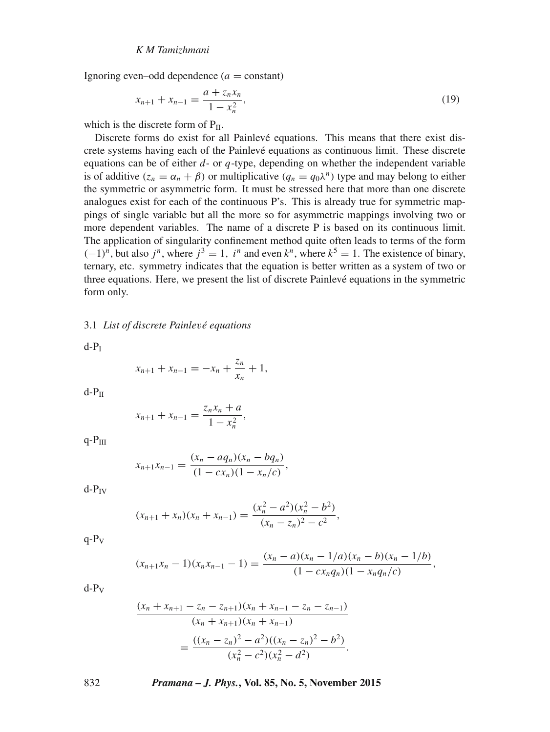Ignoring even–odd dependence  $(a = constant)$ 

$$
x_{n+1} + x_{n-1} = \frac{a + z_n x_n}{1 - x_n^2},\tag{19}
$$

which is the discrete form of  $P_{II}$ .

Discrete forms do exist for all Painlevé equations. This means that there exist discrete systems having each of the Painlevé equations as continuous limit. These discrete equations can be of either  $d$ - or  $q$ -type, depending on whether the independent variable is of additive  $(z_n = \alpha_n + \beta)$  or multiplicative  $(q_n = q_0 \lambda^n)$  type and may belong to either the symmetric or asymmetric form. It must be stressed here that more than one discrete analogues exist for each of the continuous P's. This is already true for symmetric mappings of single variable but all the more so for asymmetric mappings involving two or more dependent variables. The name of a discrete P is based on its continuous limit. The application of singularity confinement method quite often leads to terms of the form  $(-1)^n$ , but also  $j^n$ , where  $j^3 = 1$ ,  $i^n$  and even  $k^n$ , where  $k^5 = 1$ . The existence of binary, ternary, etc. symmetry indicates that the equation is better written as a system of two or three equations. Here, we present the list of discrete Painlevé equations in the symmetric form only.

3.1 *List of discrete Painle*v*é equations*

 $d-P_I$ 

$$
x_{n+1} + x_{n-1} = -x_n + \frac{z_n}{x_n} + 1,
$$

 $d-P<sub>II</sub>$ 

$$
x_{n+1} + x_{n-1} = \frac{z_n x_n + a}{1 - x_n^2},
$$

 $q-P_{III}$ 

$$
x_{n+1}x_{n-1} = \frac{(x_n - aq_n)(x_n - bq_n)}{(1 - cx_n)(1 - x_n/c)},
$$

 $d-P_{IV}$ 

$$
(x_{n+1} + x_n)(x_n + x_{n-1}) = \frac{(x_n^2 - a^2)(x_n^2 - b^2)}{(x_n - z_n)^2 - c^2},
$$

 $q-P_V$ 

$$
(x_{n+1}x_n-1)(x_nx_{n-1}-1)=\frac{(x_n-a)(x_n-1/a)(x_n-b)(x_n-1/b)}{(1-cx_nq_n)(1-x_nq_n/c)},
$$

 $d-P_V$ 

$$
\frac{(x_n + x_{n+1} - z_n - z_{n+1})(x_n + x_{n-1} - z_n - z_{n-1})}{(x_n + x_{n+1})(x_n + x_{n-1})}
$$

$$
= \frac{((x_n - z_n)^2 - a^2)((x_n - z_n)^2 - b^2)}{(x_n^2 - c^2)(x_n^2 - d^2)}.
$$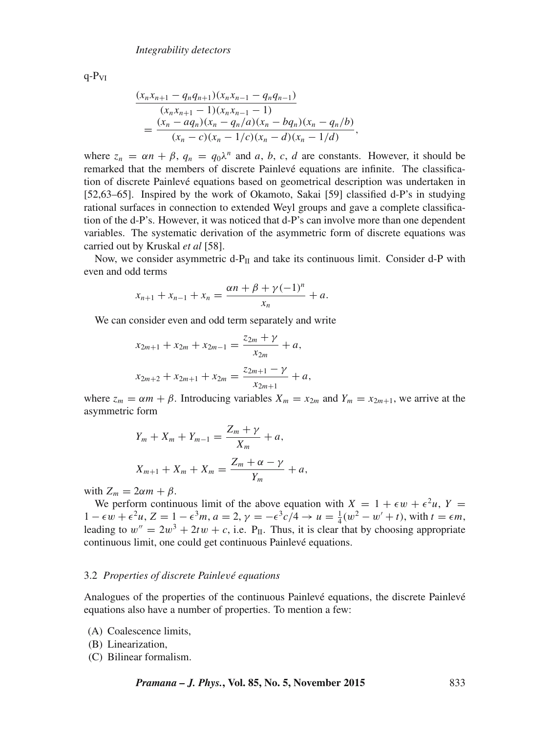$q-P_{VI}$ 

$$
\frac{(x_n x_{n+1} - q_n q_{n+1})(x_n x_{n-1} - q_n q_{n-1})}{(x_n x_{n+1} - 1)(x_n x_{n-1} - 1)} = \frac{(x_n - a q_n)(x_n - q_n/a)(x_n - b q_n)(x_n - q_n/b)}{(x_n - c)(x_n - 1/c)(x_n - d)(x_n - 1/d)},
$$

where  $z_n = \alpha n + \beta$ ,  $q_n = q_0 \lambda^n$  and a, b, c, d are constants. However, it should be remarked that the members of discrete Painlevé equations are infinite. The classification of discrete Painlevé equations based on geometrical description was undertaken in [52,63–65]. Inspired by the work of Okamoto, Sakai [59] classified d-P's in studying rational surfaces in connection to extended Weyl groups and gave a complete classification of the d-P's. However, it was noticed that d-P's can involve more than one dependent variables. The systematic derivation of the asymmetric form of discrete equations was carried out by Kruskal *et al* [58].

Now, we consider asymmetric d- $P_{II}$  and take its continuous limit. Consider d-P with even and odd terms

$$
x_{n+1} + x_{n-1} + x_n = \frac{\alpha n + \beta + \gamma(-1)^n}{x_n} + a.
$$

We can consider even and odd term separately and write

$$
x_{2m+1} + x_{2m} + x_{2m-1} = \frac{z_{2m} + \gamma}{x_{2m}} + a,
$$
  

$$
x_{2m+2} + x_{2m+1} + x_{2m} = \frac{z_{2m+1} - \gamma}{x_{2m+1}} + a,
$$

where  $z_m = \alpha m + \beta$ . Introducing variables  $X_m = x_{2m}$  and  $Y_m = x_{2m+1}$ , we arrive at the asymmetric form

$$
Y_m + X_m + Y_{m-1} = \frac{Z_m + \gamma}{X_m} + a,
$$
  

$$
X_{m+1} + X_m + X_m = \frac{Z_m + \alpha - \gamma}{Y_m} + a,
$$

with  $Z_m = 2\alpha m + \beta$ .

We perform continuous limit of the above equation with  $X = 1 + \epsilon w + \epsilon^2 u$ ,  $Y =$ 1 − ∈ w + ∈<sup>2</sup>u, Z = 1 − ∈<sup>3</sup>m, a = 2,  $\gamma = -\epsilon^3 c/4 \to u = \frac{1}{4}(w^2 - w' + t)$ , with  $t = \epsilon m$ , leading to  $w'' = 2w^3 + 2tw + c$ , i.e.  $P_{II}$ . Thus, it is clear that by choosing appropriate continuous limit, one could get continuous Painlevé equations.

#### 3.2 *Properties of discrete Painle*v*é equations*

Analogues of the properties of the continuous Painlevé equations, the discrete Painlevé equations also have a number of properties. To mention a few:

- (A) Coalescence limits,
- (B) Linearization,
- (C) Bilinear formalism.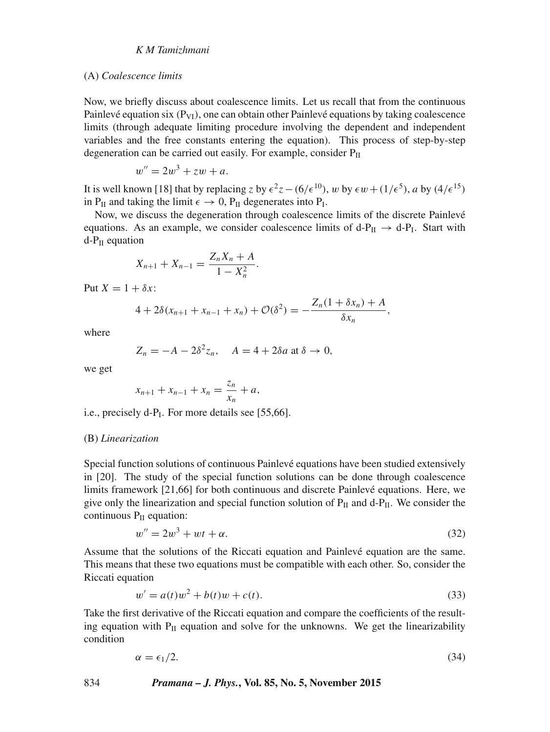#### (A) *Coalescence limits*

Now, we briefly discuss about coalescence limits. Let us recall that from the continuous Painlevé equation six  $(P_{VI})$ , one can obtain other Painlevé equations by taking coalescence limits (through adequate limiting procedure involving the dependent and independent variables and the free constants entering the equation). This process of step-by-step degeneration can be carried out easily. For example, consider  $P_{II}$ 

$$
w'' = 2w^3 + zw + a.
$$

It is well known [18] that by replacing z by  $\epsilon^2 z - (6/\epsilon^{10})$ , w by  $\epsilon w + (1/\epsilon^5)$ , a by  $(4/\epsilon^{15})$ in  $P_{II}$  and taking the limit  $\epsilon \to 0$ ,  $P_{II}$  degenerates into  $P_I$ .

Now, we discuss the degeneration through coalescence limits of the discrete Painlevé equations. As an example, we consider coalescence limits of  $d-P_{II} \rightarrow d-P_I$ . Start with  $d-P_{II}$  equation

$$
X_{n+1} + X_{n-1} = \frac{Z_n X_n + A}{1 - X_n^2}.
$$

Put  $X = 1 + \delta x$ :

$$
4 + 2\delta(x_{n+1} + x_{n-1} + x_n) + \mathcal{O}(\delta^2) = -\frac{Z_n(1 + \delta x_n) + A}{\delta x_n},
$$

where

$$
Z_n = -A - 2\delta^2 z_n, \quad A = 4 + 2\delta a \text{ at } \delta \to 0,
$$

we get

$$
x_{n+1} + x_{n-1} + x_n = \frac{z_n}{x_n} + a,
$$

i.e., precisely d-P<sub>I</sub>. For more details see [55,66].

#### (B) *Linearization*

Special function solutions of continuous Painlevé equations have been studied extensively in [20]. The study of the special function solutions can be done through coalescence limits framework [21,66] for both continuous and discrete Painlevé equations. Here, we give only the linearization and special function solution of  $P_{II}$  and d- $P_{II}$ . We consider the continuous  $P_{II}$  equation:

$$
w'' = 2w^3 + wt + \alpha. \tag{32}
$$

Assume that the solutions of the Riccati equation and Painlevé equation are the same. This means that these two equations must be compatible with each other. So, consider the Riccati equation

$$
w' = a(t)w^{2} + b(t)w + c(t).
$$
\n(33)

Take the first derivative of the Riccati equation and compare the coefficients of the resulting equation with  $P_{II}$  equation and solve for the unknowns. We get the linearizability condition

$$
\alpha = \epsilon_1/2. \tag{34}
$$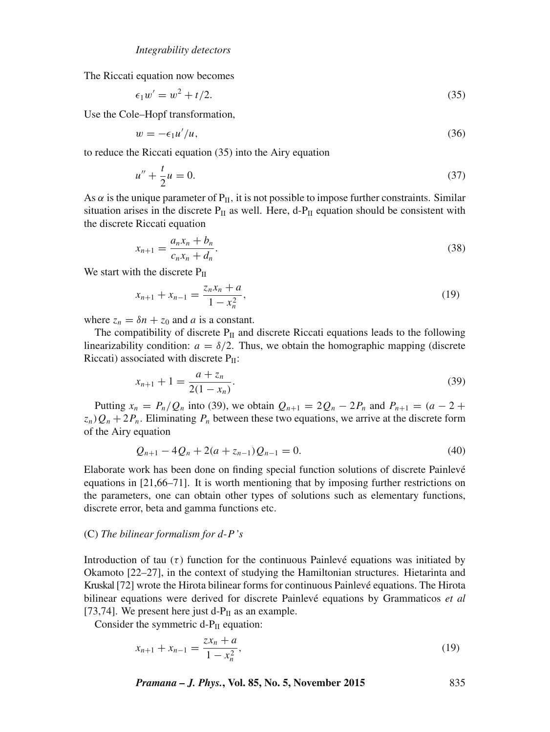The Riccati equation now becomes

$$
\epsilon_1 w' = w^2 + t/2. \tag{35}
$$

Use the Cole–Hopf transformation,

$$
w = -\epsilon_1 u'/u,\tag{36}
$$

to reduce the Riccati equation (35) into the Airy equation

$$
u'' + \frac{t}{2}u = 0.\t\t(37)
$$

As  $\alpha$  is the unique parameter of P<sub>II</sub>, it is not possible to impose further constraints. Similar situation arises in the discrete  $P_{II}$  as well. Here, d- $P_{II}$  equation should be consistent with the discrete Riccati equation

$$
x_{n+1} = \frac{a_n x_n + b_n}{c_n x_n + d_n}.
$$
\n(38)

We start with the discrete  $P_{II}$ 

$$
x_{n+1} + x_{n-1} = \frac{z_n x_n + a}{1 - x_n^2},\tag{19}
$$

where  $z_n = \delta n + z_0$  and a is a constant.

The compatibility of discrete  $P_{II}$  and discrete Riccati equations leads to the following linearizability condition:  $a = \delta/2$ . Thus, we obtain the homographic mapping (discrete Riccati) associated with discrete  $P_{II}$ :

$$
x_{n+1} + 1 = \frac{a + z_n}{2(1 - x_n)}.\tag{39}
$$

Putting  $x_n = P_n/Q_n$  into (39), we obtain  $Q_{n+1} = 2Q_n - 2P_n$  and  $P_{n+1} = (a - 2 +$  $z_n$ ) $Q_n + 2P_n$ . Eliminating  $P_n$  between these two equations, we arrive at the discrete form of the Airy equation

$$
Q_{n+1} - 4Q_n + 2(a + z_{n-1})Q_{n-1} = 0.
$$
\n(40)

Elaborate work has been done on finding special function solutions of discrete Painlevé equations in [21,66–71]. It is worth mentioning that by imposing further restrictions on the parameters, one can obtain other types of solutions such as elementary functions, discrete error, beta and gamma functions etc.

#### (C) *The bilinear formalism for d*-P*'*s

Introduction of tau  $(\tau)$  function for the continuous Painlevé equations was initiated by Okamoto [22–27], in the context of studying the Hamiltonian structures. Hietarinta and Kruskal [72] wrote the Hirota bilinear forms for continuous Painlevé equations. The Hirota bilinear equations were derived for discrete Painlevé equations by Grammaticos *et al* [73,74]. We present here just d- $P_{II}$  as an example.

Consider the symmetric  $d-P_{II}$  equation:

$$
x_{n+1} + x_{n-1} = \frac{zx_n + a}{1 - x_n^2},\tag{19}
$$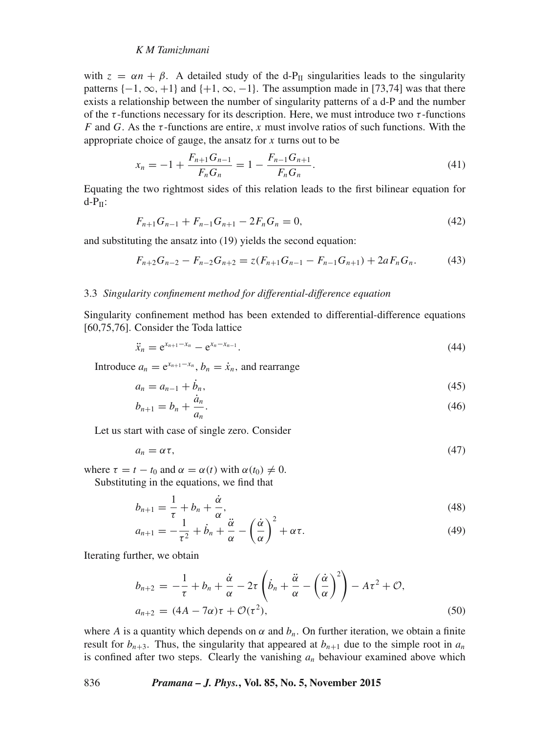with  $z = \alpha n + \beta$ . A detailed study of the d-P<sub>II</sub> singularities leads to the singularity patterns  $\{-1, \infty, +1\}$  and  $\{+1, \infty, -1\}$ . The assumption made in [73,74] was that there exists a relationship between the number of singularity patterns of a d-P and the number of the  $\tau$ -functions necessary for its description. Here, we must introduce two  $\tau$ -functions F and G. As the  $\tau$ -functions are entire, x must involve ratios of such functions. With the appropriate choice of gauge, the ansatz for  $x$  turns out to be

$$
x_n = -1 + \frac{F_{n+1}G_{n-1}}{F_nG_n} = 1 - \frac{F_{n-1}G_{n+1}}{F_nG_n}.
$$
\n(41)

Equating the two rightmost sides of this relation leads to the first bilinear equation for  $d-P_{II}$ :

$$
F_{n+1}G_{n-1} + F_{n-1}G_{n+1} - 2F_nG_n = 0,
$$
\n(42)

and substituting the ansatz into (19) yields the second equation:

$$
F_{n+2}G_{n-2} - F_{n-2}G_{n+2} = z(F_{n+1}G_{n-1} - F_{n-1}G_{n+1}) + 2aF_nG_n.
$$
 (43)

#### 3.3 *Singularity confinement method for differential-difference equation*

Singularity confinement method has been extended to differential-difference equations [60,75,76]. Consider the Toda lattice

$$
\ddot{x}_n = e^{x_{n+1} - x_n} - e^{x_n - x_{n-1}}.
$$
\n(44)

Introduce  $a_n = e^{x_{n+1} - x_n}$ ,  $b_n = \dot{x}_n$ , and rearrange

$$
a_n = a_{n-1} + \dot{b}_n,\tag{45}
$$

$$
b_{n+1} = b_n + \frac{\dot{a}_n}{a_n}.
$$
\n(46)

Let us start with case of single zero. Consider

$$
a_n = \alpha \tau, \tag{47}
$$

where  $\tau = t - t_0$  and  $\alpha = \alpha(t)$  with  $\alpha(t_0) \neq 0$ .

Substituting in the equations, we find that

$$
b_{n+1} = \frac{1}{\tau} + b_n + \frac{\dot{\alpha}}{\alpha},\tag{48}
$$

$$
a_{n+1} = -\frac{1}{\tau^2} + \dot{b}_n + \frac{\ddot{\alpha}}{\alpha} - \left(\frac{\dot{\alpha}}{\alpha}\right)^2 + \alpha \tau.
$$
 (49)

Iterating further, we obtain

$$
b_{n+2} = -\frac{1}{\tau} + b_n + \frac{\dot{\alpha}}{\alpha} - 2\tau \left( \dot{b}_n + \frac{\ddot{\alpha}}{\alpha} - \left( \frac{\dot{\alpha}}{\alpha} \right)^2 \right) - A\tau^2 + \mathcal{O},
$$
  
\n
$$
a_{n+2} = (4A - 7\alpha)\tau + \mathcal{O}(\tau^2),
$$
\n(50)

where A is a quantity which depends on  $\alpha$  and  $b_n$ . On further iteration, we obtain a finite result for  $b_{n+3}$ . Thus, the singularity that appeared at  $b_{n+1}$  due to the simple root in  $a_n$ is confined after two steps. Clearly the vanishing  $a_n$  behaviour examined above which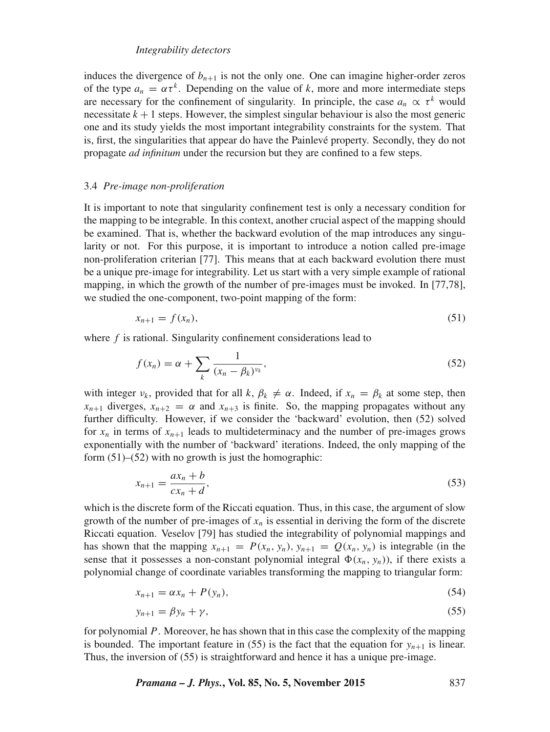induces the divergence of  $b_{n+1}$  is not the only one. One can imagine higher-order zeros of the type  $a_n = \alpha \tau^k$ . Depending on the value of k, more and more intermediate steps are necessary for the confinement of singularity. In principle, the case  $a_n \propto \tau^k$  would necessitate  $k + 1$  steps. However, the simplest singular behaviour is also the most generic one and its study yields the most important integrability constraints for the system. That is, first, the singularities that appear do have the Painlevé property. Secondly, they do not propagate *ad infinitum* under the recursion but they are confined to a few steps.

#### 3.4 *Pre-image non-proliferation*

It is important to note that singularity confinement test is only a necessary condition for the mapping to be integrable. In this context, another crucial aspect of the mapping should be examined. That is, whether the backward evolution of the map introduces any singularity or not. For this purpose, it is important to introduce a notion called pre-image non-proliferation criterian [77]. This means that at each backward evolution there must be a unique pre-image for integrability. Let us start with a very simple example of rational mapping, in which the growth of the number of pre-images must be invoked. In [77,78], we studied the one-component, two-point mapping of the form:

$$
x_{n+1} = f(x_n),\tag{51}
$$

where  $f$  is rational. Singularity confinement considerations lead to

$$
f(x_n) = \alpha + \sum_{k} \frac{1}{(x_n - \beta_k)^{\nu_k}},\tag{52}
$$

with integer  $\nu_k$ , provided that for all k,  $\beta_k \neq \alpha$ . Indeed, if  $x_n = \beta_k$  at some step, then  $x_{n+1}$  diverges,  $x_{n+2} = \alpha$  and  $x_{n+3}$  is finite. So, the mapping propagates without any further difficulty. However, if we consider the 'backward' evolution, then (52) solved for  $x_n$  in terms of  $x_{n+1}$  leads to multideterminacy and the number of pre-images grows exponentially with the number of 'backward' iterations. Indeed, the only mapping of the form (51)–(52) with no growth is just the homographic:

$$
x_{n+1} = \frac{ax_n + b}{cx_n + d},\tag{53}
$$

which is the discrete form of the Riccati equation. Thus, in this case, the argument of slow growth of the number of pre-images of  $x_n$  is essential in deriving the form of the discrete Riccati equation. Veselov [79] has studied the integrability of polynomial mappings and has shown that the mapping  $x_{n+1} = P(x_n, y_n)$ ,  $y_{n+1} = Q(x_n, y_n)$  is integrable (in the sense that it possesses a non-constant polynomial integral  $\Phi(x_n, y_n)$ , if there exists a polynomial change of coordinate variables transforming the mapping to triangular form:

$$
x_{n+1} = \alpha x_n + P(y_n),\tag{54}
$$

$$
y_{n+1} = \beta y_n + \gamma,\tag{55}
$$

for polynomial P. Moreover, he has shown that in this case the complexity of the mapping is bounded. The important feature in (55) is the fact that the equation for  $y_{n+1}$  is linear. Thus, the inversion of (55) is straightforward and hence it has a unique pre-image.

*Pramana – J. Phys.***, Vol. 85, No. 5, November 2015** 837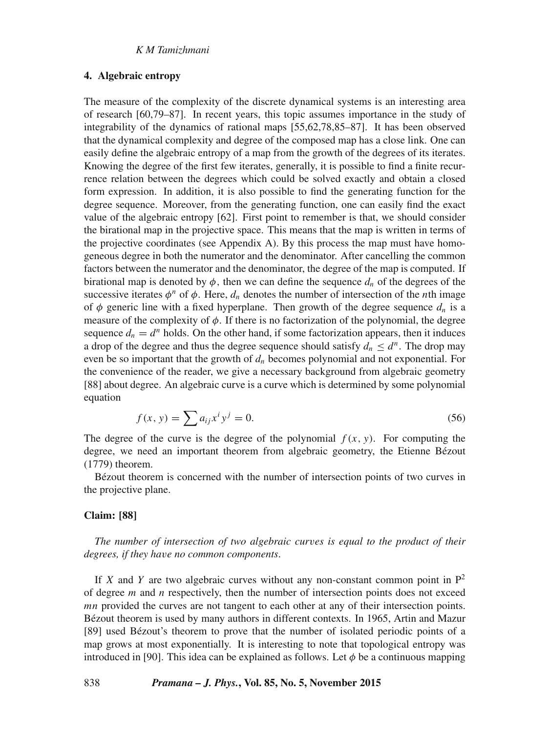#### **4. Algebraic entropy**

The measure of the complexity of the discrete dynamical systems is an interesting area of research [60,79–87]. In recent years, this topic assumes importance in the study of integrability of the dynamics of rational maps [55,62,78,85–87]. It has been observed that the dynamical complexity and degree of the composed map has a close link. One can easily define the algebraic entropy of a map from the growth of the degrees of its iterates. Knowing the degree of the first few iterates, generally, it is possible to find a finite recurrence relation between the degrees which could be solved exactly and obtain a closed form expression. In addition, it is also possible to find the generating function for the degree sequence. Moreover, from the generating function, one can easily find the exact value of the algebraic entropy [62]. First point to remember is that, we should consider the birational map in the projective space. This means that the map is written in terms of the projective coordinates (see Appendix A). By this process the map must have homogeneous degree in both the numerator and the denominator. After cancelling the common factors between the numerator and the denominator, the degree of the map is computed. If birational map is denoted by  $\phi$ , then we can define the sequence  $d_n$  of the degrees of the successive iterates  $\phi^n$  of  $\phi$ . Here,  $d_n$  denotes the number of intersection of the *n*th image of  $\phi$  generic line with a fixed hyperplane. Then growth of the degree sequence  $d_n$  is a measure of the complexity of  $\phi$ . If there is no factorization of the polynomial, the degree sequence  $d_n = d^n$  holds. On the other hand, if some factorization appears, then it induces a drop of the degree and thus the degree sequence should satisfy  $d_n \leq d^n$ . The drop may even be so important that the growth of  $d_n$  becomes polynomial and not exponential. For the convenience of the reader, we give a necessary background from algebraic geometry [88] about degree. An algebraic curve is a curve which is determined by some polynomial equation

$$
f(x, y) = \sum a_{ij} x^i y^j = 0.
$$
 (56)

The degree of the curve is the degree of the polynomial  $f(x, y)$ . For computing the degree, we need an important theorem from algebraic geometry, the Etienne Bézout (1779) theorem.

Bézout theorem is concerned with the number of intersection points of two curves in the projective plane.

## **Claim: [88]**

*The number of intersection of two algebraic cur*v*es is equal to the product of their degrees, if they ha*v*e no common components*.

If X and Y are two algebraic curves without any non-constant common point in  $P^2$ of degree  $m$  and  $n$  respectively, then the number of intersection points does not exceed mn provided the curves are not tangent to each other at any of their intersection points. Bézout theorem is used by many authors in different contexts. In 1965, Artin and Mazur [89] used Bézout's theorem to prove that the number of isolated periodic points of a map grows at most exponentially. It is interesting to note that topological entropy was introduced in [90]. This idea can be explained as follows. Let  $\phi$  be a continuous mapping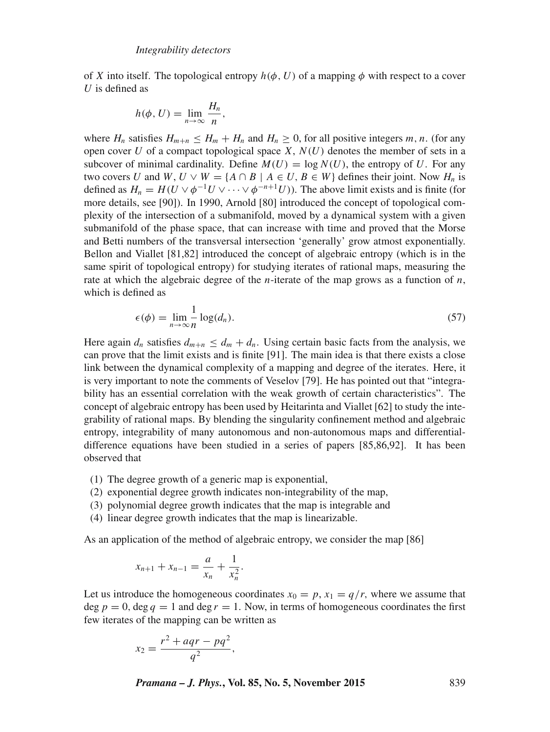of X into itself. The topological entropy  $h(\phi, U)$  of a mapping  $\phi$  with respect to a cover  $U$  is defined as

$$
h(\phi, U) = \lim_{n \to \infty} \frac{H_n}{n},
$$

where  $H_n$  satisfies  $H_{m+n} \leq H_m + H_n$  and  $H_n \geq 0$ , for all positive integers m, n. (for any open cover U of a compact topological space  $X, N(U)$  denotes the member of sets in a subcover of minimal cardinality. Define  $M(U) = \log N(U)$ , the entropy of U. For any two covers U and W,  $U \vee W = \{A \cap B \mid A \in U, B \in W\}$  defines their joint. Now  $H_n$  is defined as  $H_n = H(U \vee \phi^{-1}U \vee \cdots \vee \phi^{-n+1}U)$ ). The above limit exists and is finite (for more details, see [90]). In 1990, Arnold [80] introduced the concept of topological complexity of the intersection of a submanifold, moved by a dynamical system with a given submanifold of the phase space, that can increase with time and proved that the Morse and Betti numbers of the transversal intersection 'generally' grow atmost exponentially. Bellon and Viallet [81,82] introduced the concept of algebraic entropy (which is in the same spirit of topological entropy) for studying iterates of rational maps, measuring the rate at which the algebraic degree of the *n*-iterate of the map grows as a function of *n*, which is defined as

$$
\epsilon(\phi) = \lim_{n \to \infty} \frac{1}{n} \log(d_n). \tag{57}
$$

Here again  $d_n$  satisfies  $d_{m+n} \leq d_m + d_n$ . Using certain basic facts from the analysis, we can prove that the limit exists and is finite [91]. The main idea is that there exists a close link between the dynamical complexity of a mapping and degree of the iterates. Here, it is very important to note the comments of Veselov [79]. He has pointed out that "integrability has an essential correlation with the weak growth of certain characteristics". The concept of algebraic entropy has been used by Heitarinta and Viallet [62] to study the integrability of rational maps. By blending the singularity confinement method and algebraic entropy, integrability of many autonomous and non-autonomous maps and differentialdifference equations have been studied in a series of papers [85,86,92]. It has been observed that

- (1) The degree growth of a generic map is exponential,
- (2) exponential degree growth indicates non-integrability of the map,
- (3) polynomial degree growth indicates that the map is integrable and
- (4) linear degree growth indicates that the map is linearizable.

As an application of the method of algebraic entropy, we consider the map [86]

$$
x_{n+1} + x_{n-1} = \frac{a}{x_n} + \frac{1}{x_n^2}.
$$

Let us introduce the homogeneous coordinates  $x_0 = p$ ,  $x_1 = q/r$ , where we assume that deg  $p = 0$ , deg  $q = 1$  and deg  $r = 1$ . Now, in terms of homogeneous coordinates the first few iterates of the mapping can be written as

$$
x_2=\frac{r^2+aqr-pq^2}{q^2},
$$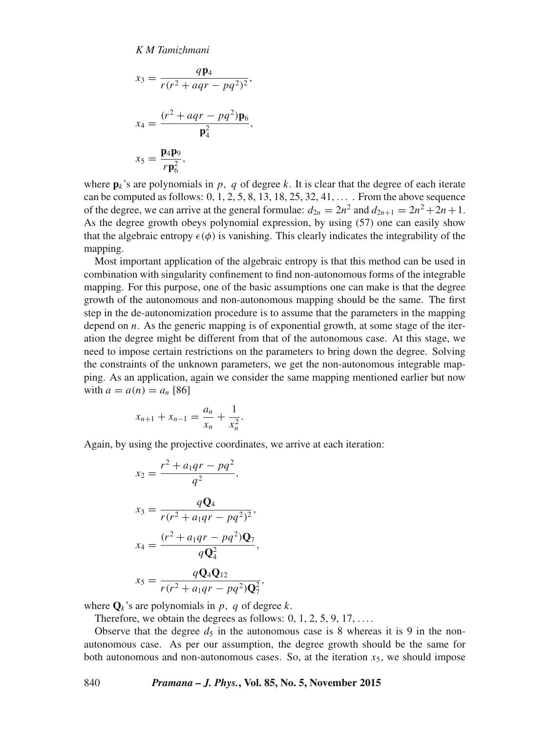$$
x_3 = \frac{q\mathbf{p}_4}{r(r^2 + aqr - pq^2)^2},
$$
  
\n
$$
x_4 = \frac{(r^2 + aqr - pq^2)\mathbf{p}_6}{\mathbf{p}_4^2},
$$
  
\n
$$
x_5 = \frac{\mathbf{p}_4\mathbf{p}_9}{r\mathbf{p}_6^2},
$$

where  $\mathbf{p}_k$ 's are polynomials in p, q of degree k. It is clear that the degree of each iterate can be computed as follows:  $0, 1, 2, 5, 8, 13, 18, 25, 32, 41, \ldots$ . From the above sequence of the degree, we can arrive at the general formulae:  $d_{2n} = 2n^2$  and  $d_{2n+1} = 2n^2 + 2n + 1$ . As the degree growth obeys polynomial expression, by using (57) one can easily show that the algebraic entropy  $\epsilon(\phi)$  is vanishing. This clearly indicates the integrability of the mapping.

Most important application of the algebraic entropy is that this method can be used in combination with singularity confinement to find non-autonomous forms of the integrable mapping. For this purpose, one of the basic assumptions one can make is that the degree growth of the autonomous and non-autonomous mapping should be the same. The first step in the de-autonomization procedure is to assume that the parameters in the mapping depend on n. As the generic mapping is of exponential growth, at some stage of the iteration the degree might be different from that of the autonomous case. At this stage, we need to impose certain restrictions on the parameters to bring down the degree. Solving the constraints of the unknown parameters, we get the non-autonomous integrable mapping. As an application, again we consider the same mapping mentioned earlier but now with  $a = a(n) = a_n$  [86]

$$
x_{n+1} + x_{n-1} = \frac{a_n}{x_n} + \frac{1}{x_n^2}.
$$

Again, by using the projective coordinates, we arrive at each iteration:

$$
x_2 = \frac{r^2 + a_1qr - pq^2}{q^2},
$$
  
\n
$$
x_3 = \frac{qQ_4}{r(r^2 + a_1qr - pq^2)^2},
$$
  
\n
$$
x_4 = \frac{(r^2 + a_1qr - pq^2)Q_7}{qQ_4^2},
$$
  
\n
$$
x_5 = \frac{qQ_4Q_{12}}{r(r^2 + a_1qr - pq^2)Q_7^2}
$$

where  $\mathbf{Q}_k$ 's are polynomials in p, q of degree k.

Therefore, we obtain the degrees as follows:  $0, 1, 2, 5, 9, 17, \ldots$ 

Observe that the degree  $d_5$  in the autonomous case is 8 whereas it is 9 in the nonautonomous case. As per our assumption, the degree growth should be the same for both autonomous and non-autonomous cases. So, at the iteration  $x<sub>5</sub>$ , we should impose

,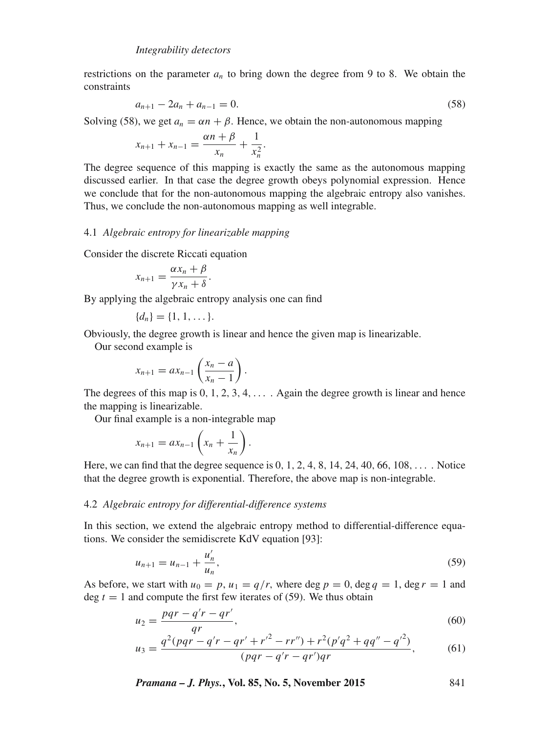restrictions on the parameter  $a_n$  to bring down the degree from 9 to 8. We obtain the constraints

$$
a_{n+1} - 2a_n + a_{n-1} = 0. \tag{58}
$$

Solving (58), we get  $a_n = \alpha n + \beta$ . Hence, we obtain the non-autonomous mapping

$$
x_{n+1} + x_{n-1} = \frac{\alpha n + \beta}{x_n} + \frac{1}{x_n^2}.
$$

The degree sequence of this mapping is exactly the same as the autonomous mapping discussed earlier. In that case the degree growth obeys polynomial expression. Hence we conclude that for the non-autonomous mapping the algebraic entropy also vanishes. Thus, we conclude the non-autonomous mapping as well integrable.

## 4.1 *Algebraic entropy for linearizable mapping*

Consider the discrete Riccati equation

$$
x_{n+1} = \frac{\alpha x_n + \beta}{\gamma x_n + \delta}.
$$

By applying the algebraic entropy analysis one can find

$$
\{d_n\} = \{1, 1, \dots\}.
$$

Obviously, the degree growth is linear and hence the given map is linearizable.

Our second example is

$$
x_{n+1} = ax_{n-1} \left( \frac{x_n - a}{x_n - 1} \right).
$$

The degrees of this map is  $0, 1, 2, 3, 4, \ldots$ . Again the degree growth is linear and hence the mapping is linearizable.

Our final example is a non-integrable map

$$
x_{n+1} = ax_{n-1}\left(x_n + \frac{1}{x_n}\right).
$$

Here, we can find that the degree sequence is 0, 1, 2, 4, 8, 14, 24, 40, 66, 108,  $\dots$ . Notice that the degree growth is exponential. Therefore, the above map is non-integrable.

#### 4.2 *Algebraic entropy for differential-difference systems*

In this section, we extend the algebraic entropy method to differential-difference equations. We consider the semidiscrete KdV equation [93]:

$$
u_{n+1} = u_{n-1} + \frac{u'_n}{u_n},
$$
\n(59)

As before, we start with  $u_0 = p$ ,  $u_1 = q/r$ , where deg  $p = 0$ , deg  $q = 1$ , deg  $r = 1$  and deg  $t = 1$  and compute the first few iterates of (59). We thus obtain

$$
u_2 = \frac{pqr - q'r - qr'}{qr},\tag{60}
$$

$$
u_3 = \frac{q^2(pqr - q'r - qr' + r'^2 - rr'') + r^2(p'q^2 + qq'' - q'^2)}{(pqr - q'r - qr')qr},
$$
(61)

*Pramana – J. Phys.***, Vol. 85, No. 5, November 2015** 841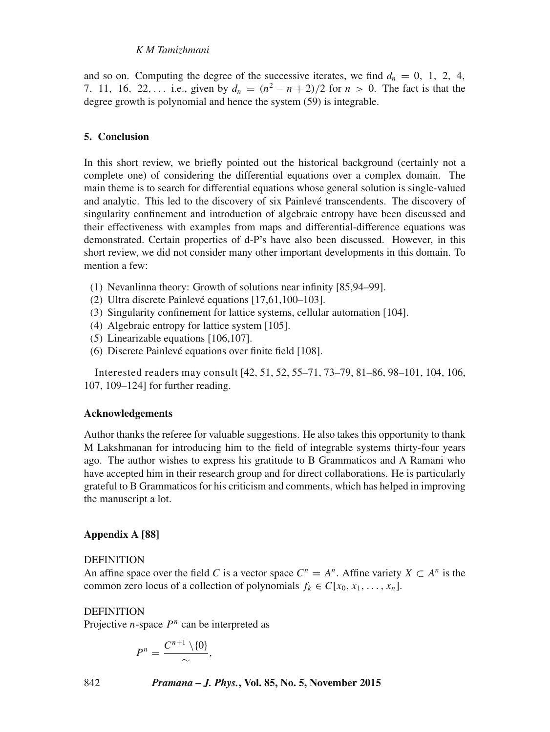and so on. Computing the degree of the successive iterates, we find  $d_n = 0, 1, 2, 4$ , 7, 11, 16, 22,... i.e., given by  $d_n = (n^2 - n + 2)/2$  for  $n > 0$ . The fact is that the degree growth is polynomial and hence the system (59) is integrable.

## **5. Conclusion**

In this short review, we briefly pointed out the historical background (certainly not a complete one) of considering the differential equations over a complex domain. The main theme is to search for differential equations whose general solution is single-valued and analytic. This led to the discovery of six Painlevé transcendents. The discovery of singularity confinement and introduction of algebraic entropy have been discussed and their effectiveness with examples from maps and differential-difference equations was demonstrated. Certain properties of d-P's have also been discussed. However, in this short review, we did not consider many other important developments in this domain. To mention a few:

- (1) Nevanlinna theory: Growth of solutions near infinity [85,94–99].
- (2) Ultra discrete Painlevé equations [17,61,100–103].
- (3) Singularity confinement for lattice systems, cellular automation [104].
- (4) Algebraic entropy for lattice system [105].
- (5) Linearizable equations [106,107].
- (6) Discrete Painlevé equations over finite field [108].

Interested readers may consult [42, 51, 52, 55–71, 73–79, 81–86, 98–101, 104, 106, 107, 109–124] for further reading.

#### **Acknowledgements**

Author thanks the referee for valuable suggestions. He also takes this opportunity to thank M Lakshmanan for introducing him to the field of integrable systems thirty-four years ago. The author wishes to express his gratitude to B Grammaticos and A Ramani who have accepted him in their research group and for direct collaborations. He is particularly grateful to B Grammaticos for his criticism and comments, which has helped in improving the manuscript a lot.

#### **Appendix A [88]**

#### **DEFINITION**

An affine space over the field C is a vector space  $C^n = A^n$ . Affine variety  $X \subset A^n$  is the common zero locus of a collection of polynomials  $f_k \in C[x_0, x_1, \ldots, x_n]$ .

## DEFINITION

Projective *n*-space  $P<sup>n</sup>$  can be interpreted as

$$
P^n=\frac{C^{n+1}\setminus\{0\}}{\sim},
$$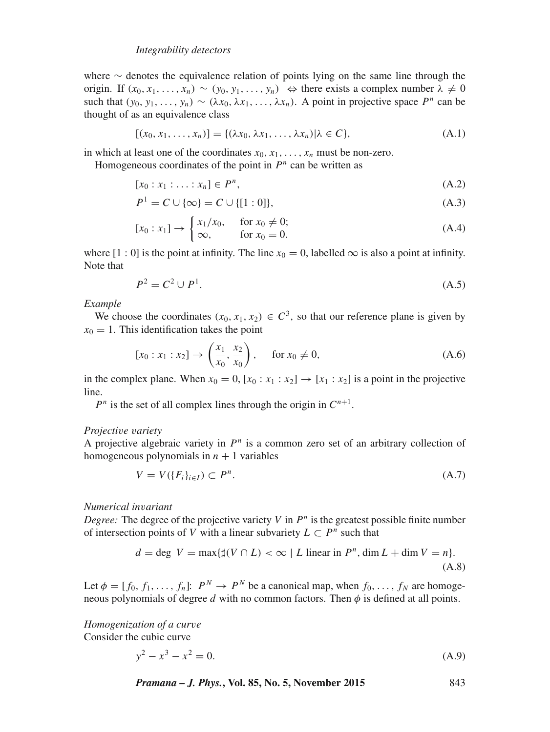where  $\sim$  denotes the equivalence relation of points lying on the same line through the origin. If  $(x_0, x_1, \ldots, x_n) \sim (y_0, y_1, \ldots, y_n) \Leftrightarrow$  there exists a complex number  $\lambda \neq 0$ such that  $(y_0, y_1, \ldots, y_n) \sim (\lambda x_0, \lambda x_1, \ldots, \lambda x_n)$ . A point in projective space  $P^n$  can be thought of as an equivalence class

$$
[(x_0, x_1, \dots, x_n)] = \{(\lambda x_0, \lambda x_1, \dots, \lambda x_n) | \lambda \in C\},\tag{A.1}
$$

in which at least one of the coordinates  $x_0, x_1, \ldots, x_n$  must be non-zero. Homogeneous coordinates of the point in  $P<sup>n</sup>$  can be written as

$$
[x_0:x_1:\ldots:x_n]\in P^n,
$$
\n(A.2)

$$
P^{1} = C \cup \{\infty\} = C \cup \{[1:0]\},\tag{A.3}
$$

$$
[x_0 : x_1] \to \begin{cases} x_1/x_0, & \text{for } x_0 \neq 0; \\ \infty, & \text{for } x_0 = 0. \end{cases}
$$
 (A.4)

where  $[1:0]$  is the point at infinity. The line  $x_0 = 0$ , labelled  $\infty$  is also a point at infinity. Note that

$$
P^2 = C^2 \cup P^1. \tag{A.5}
$$

*Example*

We choose the coordinates  $(x_0, x_1, x_2) \in C^3$ , so that our reference plane is given by  $x_0 = 1$ . This identification takes the point

$$
[x_0 : x_1 : x_2] \to \left(\frac{x_1}{x_0}, \frac{x_2}{x_0}\right), \quad \text{for } x_0 \neq 0,
$$
 (A.6)

in the complex plane. When  $x_0 = 0$ ,  $[x_0 : x_1 : x_2] \rightarrow [x_1 : x_2]$  is a point in the projective line.

 $P<sup>n</sup>$  is the set of all complex lines through the origin in  $C<sup>n+1</sup>$ .

## *Projecti*v*e* v*ariety*

A projective algebraic variety in  $P<sup>n</sup>$  is a common zero set of an arbitrary collection of homogeneous polynomials in  $n + 1$  variables

$$
V = V(\{F_i\}_{i \in I}) \subset P^n. \tag{A.7}
$$

*Numerical in*v*ariant*

Degree: The degree of the projective variety  $V$  in  $P<sup>n</sup>$  is the greatest possible finite number of intersection points of V with a linear subvariety  $L \subset P^n$  such that

$$
d = \deg V = \max\{\sharp(V \cap L) < \infty \mid L \text{ linear in } P^n, \dim L + \dim V = n\}. \tag{A.8}
$$

Let  $\phi = [f_0, f_1, \dots, f_n]$ :  $P^N \to P^N$  be a canonical map, when  $f_0, \dots, f_N$  are homogeneous polynomials of degree  $d$  with no common factors. Then  $\phi$  is defined at all points.

*Homogenization of a cur*v*e* Consider the cubic curve

$$
y^2 - x^3 - x^2 = 0.\tag{A.9}
$$

*Pramana – J. Phys.***, Vol. 85, No. 5, November 2015** 843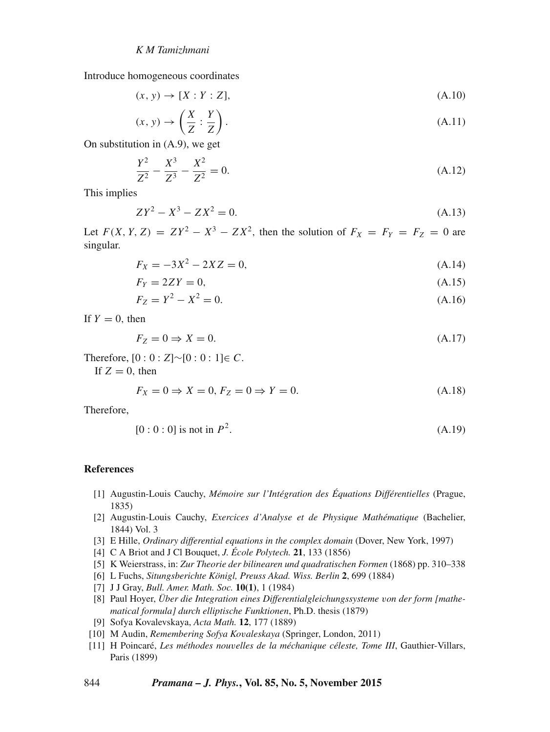Introduce homogeneous coordinates

$$
(x, y) \rightarrow [X : Y : Z], \tag{A.10}
$$

$$
(x, y) \to \left(\frac{X}{Z} : \frac{Y}{Z}\right). \tag{A.11}
$$

On substitution in (A.9), we get

$$
\frac{Y^2}{Z^2} - \frac{X^3}{Z^3} - \frac{X^2}{Z^2} = 0.
$$
\n(A.12)

This implies

$$
ZY^2 - X^3 - ZX^2 = 0.\tag{A.13}
$$

Let  $F(X, Y, Z) = ZY^2 - X^3 - ZX^2$ , then the solution of  $F_X = F_Y = F_Z = 0$  are singular.

$$
F_X = -3X^2 - 2XZ = 0,\tag{A.14}
$$

$$
F_Y = 2ZY = 0,\tag{A.15}
$$

$$
F_Z = Y^2 - X^2 = 0. \tag{A.16}
$$

If  $Y = 0$ , then

$$
F_Z = 0 \Rightarrow X = 0. \tag{A.17}
$$

Therefore,  $[0:0:Z]~ [0:0:1] \in C$ .

If  $Z = 0$ , then

$$
F_X = 0 \Rightarrow X = 0, F_Z = 0 \Rightarrow Y = 0.
$$
\n(A.18)

Therefore,

$$
[0:0:0] \text{ is not in } P^2. \tag{A.19}
$$

#### **References**

- [1] Augustin-Louis Cauchy, *Mémoire sur l'Intégration des Équations Différentielles* (Prague, 1835)
- [2] Augustin-Louis Cauchy, *Exercices d'Analyse et de Physique Mathématique* (Bachelier, 1844) Vol. 3
- [3] E Hille, *Ordinary differential equations in the complex domain* (Dover, New York, 1997)
- [4] C A Briot and J Cl Bouquet, *J. École Polytech.* **21**, 133 (1856)
- [5] K Weierstrass, in: *Zur Theorie der bilinearen und quadratischen Formen* (1868) pp. 310–338
- [6] L Fuchs, *Situngsberichte Königl, Preuss Akad. Wiss. Berlin* **2**, 699 (1884)
- [7] J J Gray, *Bull. Amer. Math. Soc.* **10(1)**, 1 (1984)
- [8] Paul Hoyer, *Über die Integration eines Differentialgleichungssysteme* v*on der form [mathematical formula] durch elliptische Funktionen*, Ph.D. thesis (1879)
- [9] Sofya Kovalevskaya, *Acta Math.* **12**, 177 (1889)
- [10] M Audin, *Remembering Sofya Ko*v*aleskaya* (Springer, London, 2011)
- [11] H Poincaré, *Les méthodes nou*v*elles de la méchanique céleste, Tome III*, Gauthier-Villars, Paris (1899)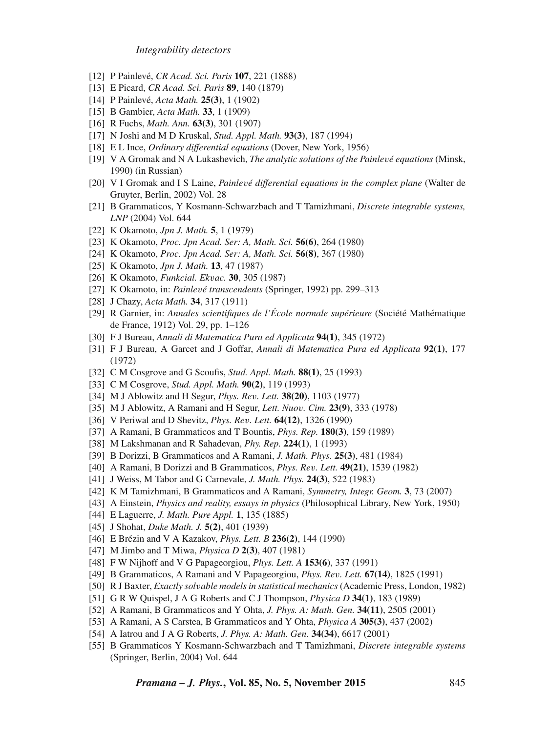- [12] P Painlevé, *CR Acad. Sci. Paris* **107**, 221 (1888)
- [13] E Picard, *CR Acad. Sci. Paris* **89**, 140 (1879)
- [14] P Painlevé, *Acta Math.* **25(3)**, 1 (1902)
- [15] B Gambier, *Acta Math.* **33**, 1 (1909)
- [16] R Fuchs, *Math. Ann.* **63(3)**, 301 (1907)
- [17] N Joshi and M D Kruskal, *Stud. Appl. Math.* **93(3)**, 187 (1994)
- [18] E L Ince, *Ordinary differential equations* (Dover, New York, 1956)
- [19] V A Gromak and N A Lukashevich, *The analytic solutions of the Painle*v*é equations* (Minsk, 1990) (in Russian)
- [20] V I Gromak and I S Laine, *Painle*v*é differential equations in the complex plane* (Walter de Gruyter, Berlin, 2002) Vol. 28
- [21] B Grammaticos, Y Kosmann-Schwarzbach and T Tamizhmani, *Discrete integrable systems, LNP* (2004) Vol. 644
- [22] K Okamoto, *Jpn J. Math.* **5**, 1 (1979)
- [23] K Okamoto, *Proc. Jpn Acad. Ser: A, Math. Sci.* **56(6)**, 264 (1980)
- [24] K Okamoto, *Proc. Jpn Acad. Ser: A, Math. Sci.* **56(8)**, 367 (1980)
- [25] K Okamoto, *Jpn J. Math.* **13**, 47 (1987)
- [26] K Okamoto, *Funkcial. Ek*v*ac.* **30**, 305 (1987)
- [27] K Okamoto, in: *Painle*v*é transcendents* (Springer, 1992) pp. 299–313
- [28] J Chazy, *Acta Math.* **34**, 317 (1911)
- [29] R Garnier, in: *Annales scientifiques de l'École normale supérieure* (Société Mathématique de France, 1912) Vol. 29, pp. 1–126
- [30] F J Bureau, *Annali di Matematica Pura ed Applicata* **94(1)**, 345 (1972)
- [31] F J Bureau, A Garcet and J Goffar, *Annali di Matematica Pura ed Applicata* **92(1)**, 177 (1972)
- [32] C M Cosgrove and G Scoufis, *Stud. Appl. Math.* **88(1)**, 25 (1993)
- [33] C M Cosgrove, *Stud. Appl. Math.* **90(2)**, 119 (1993)
- [34] M J Ablowitz and H Segur, *Phys. Re*v*. Lett.* **38(20)**, 1103 (1977)
- [35] M J Ablowitz, A Ramani and H Segur, *Lett. Nuo*v*. Cim.* **23(9)**, 333 (1978)
- [36] V Periwal and D Shevitz, *Phys. Re*v*. Lett.* **64(12)**, 1326 (1990)
- [37] A Ramani, B Grammaticos and T Bountis, *Phys. Rep.* **180(3)**, 159 (1989)
- [38] M Lakshmanan and R Sahadevan, *Phy. Rep.* **224(1)**, 1 (1993)
- [39] B Dorizzi, B Grammaticos and A Ramani, *J. Math. Phys.* **25(3)**, 481 (1984)
- [40] A Ramani, B Dorizzi and B Grammaticos, *Phys. Re*v*. Lett.* **49(21)**, 1539 (1982)
- [41] J Weiss, M Tabor and G Carnevale, *J. Math. Phys.* **24(3)**, 522 (1983)
- [42] K M Tamizhmani, B Grammaticos and A Ramani, *Symmetry, Integr. Geom.* **3**, 73 (2007)
- [43] A Einstein, *Physics and reality, essays in physics* (Philosophical Library, New York, 1950)
- [44] E Laguerre, *J. Math. Pure Appl.* **1**, 135 (1885)
- [45] J Shohat, *Duke Math. J.* **5(2)**, 401 (1939)
- [46] E Brézin and V A Kazakov, *Phys. Lett. B* **236(2)**, 144 (1990)
- [47] M Jimbo and T Miwa, *Physica D* **2(3)**, 407 (1981)
- [48] F W Nijhoff and V G Papageorgiou, *Phys. Lett. A* **153(6)**, 337 (1991)
- [49] B Grammaticos, A Ramani and V Papageorgiou, *Phys. Re*v*. Lett.* **67(14)**, 1825 (1991)
- [50] R J Baxter, *Exactly sol*v*able models in statistical mechanics*(Academic Press, London, 1982)
- [51] G R W Quispel, J A G Roberts and C J Thompson, *Physica D* **34(1)**, 183 (1989)
- [52] A Ramani, B Grammaticos and Y Ohta, *J. Phys. A: Math. Gen.* **34(11)**, 2505 (2001)
- [53] A Ramani, A S Carstea, B Grammaticos and Y Ohta, *Physica A* **305(3)**, 437 (2002)
- [54] A Iatrou and J A G Roberts, *J. Phys. A: Math. Gen.* **34(34)**, 6617 (2001)
- [55] B Grammaticos Y Kosmann-Schwarzbach and T Tamizhmani, *Discrete integrable systems* (Springer, Berlin, 2004) Vol. 644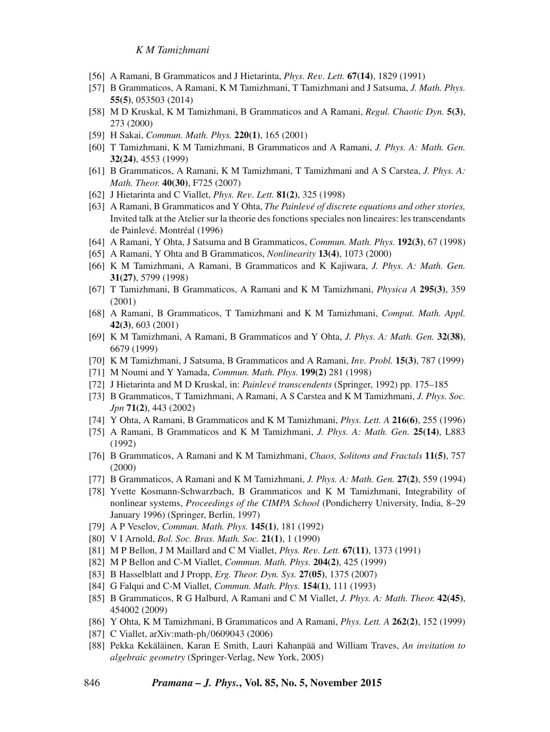- [56] A Ramani, B Grammaticos and J Hietarinta, *Phys. Re*v*. Lett.* **67(14)**, 1829 (1991)
- [57] B Grammaticos, A Ramani, K M Tamizhmani, T Tamizhmani and J Satsuma, *J. Math. Phys.* **55(5)**, 053503 (2014)
- [58] M D Kruskal, K M Tamizhmani, B Grammaticos and A Ramani, *Regul. Chaotic Dyn.* **5(3)**, 273 (2000)
- [59] H Sakai, *Commun. Math. Phys.* **220(1)**, 165 (2001)
- [60] T Tamizhmani, K M Tamizhmani, B Grammaticos and A Ramani, *J. Phys. A: Math. Gen.* **32(24)**, 4553 (1999)
- [61] B Grammaticos, A Ramani, K M Tamizhmani, T Tamizhmani and A S Carstea, *J. Phys. A: Math. Theor.* **40(30)**, F725 (2007)
- [62] J Hietarinta and C Viallet, *Phys. Re*v*. Lett.* **81(2)**, 325 (1998)
- [63] A Ramani, B Grammaticos and Y Ohta, *The Painle*v*é of discrete equations and other stories,* Invited talk at the Atelier sur la theorie des fonctions speciales non lineaires: les transcendants de Painlevé. Montréal (1996)
- [64] A Ramani, Y Ohta, J Satsuma and B Grammaticos, *Commun. Math. Phys.* **192(3)**, 67 (1998)
- [65] A Ramani, Y Ohta and B Grammaticos, *Nonlinearity* **13(4)**, 1073 (2000)
- [66] K M Tamizhmani, A Ramani, B Grammaticos and K Kajiwara, *J. Phys. A: Math. Gen.* **31(27)**, 5799 (1998)
- [67] T Tamizhmani, B Grammaticos, A Ramani and K M Tamizhmani, *Physica A* **295(3)**, 359 (2001)
- [68] A Ramani, B Grammaticos, T Tamizhmani and K M Tamizhmani, *Comput. Math. Appl.* **42(3)**, 603 (2001)
- [69] K M Tamizhmani, A Ramani, B Grammaticos and Y Ohta, *J. Phys. A: Math. Gen.* **32(38)**, 6679 (1999)
- [70] K M Tamizhmani, J Satsuma, B Grammaticos and A Ramani, *In*v*. Probl.* **15(3)**, 787 (1999)
- [71] M Noumi and Y Yamada, *Commun. Math. Phys.* **199(2)** 281 (1998)
- [72] J Hietarinta and M D Kruskal, in: *Painle*v*é transcendents* (Springer, 1992) pp. 175–185
- [73] B Grammaticos, T Tamizhmani, A Ramani, A S Carstea and K M Tamizhmani, *J. Phys. Soc. Jpn* **71(2)**, 443 (2002)
- [74] Y Ohta, A Ramani, B Grammaticos and K M Tamizhmani, *Phys. Lett. A* **216(6)**, 255 (1996)
- [75] A Ramani, B Grammaticos and K M Tamizhmani, *J. Phys. A: Math. Gen.* **25(14)**, L883 (1992)
- [76] B Grammaticos, A Ramani and K M Tamizhmani, *Chaos, Solitons and Fractals* **11(5)**, 757 (2000)
- [77] B Grammaticos, A Ramani and K M Tamizhmani, *J. Phys. A: Math. Gen.* **27(2)**, 559 (1994)
- [78] Yvette Kosmann-Schwarzbach, B Grammaticos and K M Tamizhmani, Integrability of nonlinear systems, *Proceedings of the CIMPA School* (Pondicherry University, India, 8–29 January 1996) (Springer, Berlin, 1997)
- [79] A P Veselov, *Commun. Math. Phys.* **145(1)**, 181 (1992)
- [80] V I Arnold, *Bol. Soc. Bras. Math. Soc.* **21(1)**, 1 (1990)
- [81] M P Bellon, J M Maillard and C M Viallet, *Phys. Re*v*. Lett.* **67(11)**, 1373 (1991)
- [82] M P Bellon and C-M Viallet, *Commun. Math. Phys.* **204(2)**, 425 (1999)
- [83] B Hasselblatt and J Propp, *Erg. Theor. Dyn. Sys.* **27(05)**, 1375 (2007)
- [84] G Falqui and C-M Viallet, *Commun. Math. Phys.* **154(1)**, 111 (1993)
- [85] B Grammaticos, R G Halburd, A Ramani and C M Viallet, *J. Phys. A: Math. Theor.* **42(45)**, 454002 (2009)
- [86] Y Ohta, K M Tamizhmani, B Grammaticos and A Ramani, *Phys. Lett. A* **262(2)**, 152 (1999)
- [87] C Viallet, arXiv:math-ph/0609043 (2006)
- [88] Pekka Kekäläinen, Karan E Smith, Lauri Kahanpää and William Traves, *An in*v*itation to algebraic geometry* (Springer-Verlag, New York, 2005)